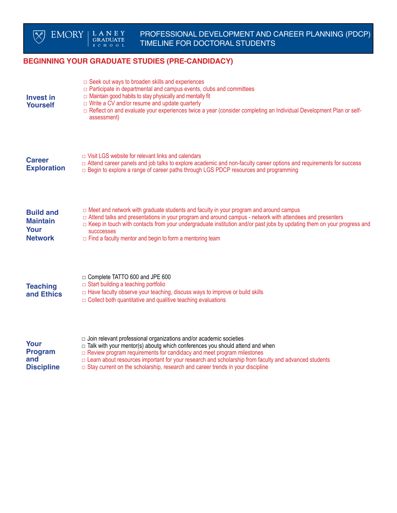

## **BEGINNING YOUR GRADUATE STUDIES (PRE-CANDIDACY)**

| <b>Invest in</b><br><b>Yourself</b>                           | $\Box$ Seek out ways to broaden skills and experiences<br>$\Box$ Participate in departmental and campus events, clubs and committees<br>$\Box$ Maintain good habits to stay physically and mentally fit<br>$\Box$ Write a CV and/or resume and update quarterly<br>□ Reflect on and evaluate your experiences twice a year (consider completing an Individual Development Plan or self-<br>assessment)                                              |
|---------------------------------------------------------------|-----------------------------------------------------------------------------------------------------------------------------------------------------------------------------------------------------------------------------------------------------------------------------------------------------------------------------------------------------------------------------------------------------------------------------------------------------|
| <b>Career</b><br><b>Exploration</b>                           | $\Box$ Visit LGS website for relevant links and calendars<br>□ Attend career panels and job talks to explore academic and non-faculty career options and requirements for success<br>□ Begin to explore a range of career paths through LGS PDCP resources and programming                                                                                                                                                                          |
| <b>Build and</b><br><b>Maintain</b><br>Your<br><b>Network</b> | $\Box$ Meet and network with graduate students and faculty in your program and around campus<br>□ Attend talks and presentations in your program and around campus - network with attendees and presenters<br>$\Box$ Keep in touch with contacts from your undergraduate institution and/or past jobs by updating them on your progress and<br><b>SUCCCESSES</b><br>$\Box$ Find a faculty mentor and begin to form a mentoring team                 |
| <b>Teaching</b><br>and Ethics                                 | $\Box$ Complete TATTO 600 and JPE 600<br>$\Box$ Start building a teaching portfolio<br>$\Box$ Have faculty observe your teaching, discuss ways to improve or build skills<br>$\Box$ Collect both quantitative and qualitive teaching evaluations                                                                                                                                                                                                    |
| Your<br><b>Program</b><br>and<br><b>Discipline</b>            | $\Box$ Join relevant professional organizations and/or academic societies<br>$\Box$ Talk with your mentor(s) aboutg which conferences you should attend and when<br>$\Box$ Review program requirements for candidacy and meet program milestones<br>□ Learn about resources important for your research and scholarship from faculty and advanced students<br>$\Box$ Stay current on the scholarship, research and career trends in your discipline |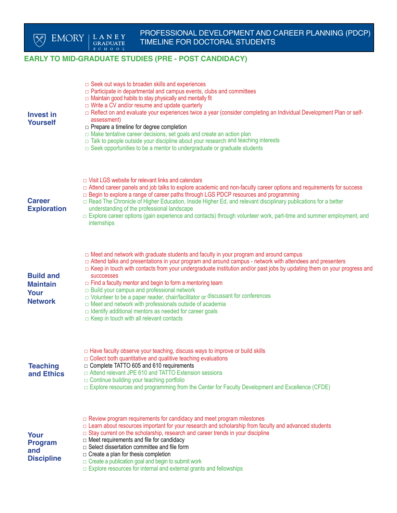## **EARLY TO MID-GRADUATE STUDIES (PRE - POST CANDIDACY)**

| <b>Invest in</b><br><b>Yourself</b>                           | $\Box$ Seek out ways to broaden skills and experiences<br>$\Box$ Participate in departmental and campus events, clubs and committees<br>$\Box$ Maintain good habits to stay physically and mentally fit<br>$\Box$ Write a CV and/or resume and update quarterly<br>□ Reflect on and evaluate your experiences twice a year (consider completing an Individual Development Plan or self-<br>assessment)<br>□ Prepare a timeline for degree completion<br>In Make tentative career decisions, set goals and create an action plan<br>□ Talk to people outside your discipline about your research and teaching interests<br>$\Box$ Seek opportunities to be a mentor to undergraduate or graduate students                                                                 |
|---------------------------------------------------------------|--------------------------------------------------------------------------------------------------------------------------------------------------------------------------------------------------------------------------------------------------------------------------------------------------------------------------------------------------------------------------------------------------------------------------------------------------------------------------------------------------------------------------------------------------------------------------------------------------------------------------------------------------------------------------------------------------------------------------------------------------------------------------|
| <b>Career</b><br><b>Exploration</b>                           | $\Box$ Visit LGS website for relevant links and calendars<br>□ Attend career panels and job talks to explore academic and non-faculty career options and requirements for success<br>□ Begin to explore a range of career paths through LGS PDCP resources and programming<br>□ Read The Chronicle of Higher Education, Inside Higher Ed, and relevant disciplinary publications for a better<br>understanding of the professional landscape<br>$\Box$ Explore career options (gain experience and contacts) through volunteer work, part-time and summer employment, and<br>internships                                                                                                                                                                                 |
| <b>Build and</b><br><b>Maintain</b><br>Your<br><b>Network</b> | $\Box$ Meet and network with graduate students and faculty in your program and around campus<br>□ Attend talks and presentations in your program and around campus - network with attendees and presenters<br>$\Box$ Keep in touch with contacts from your undergraduate institution and/or past jobs by updating them on your progress and<br><b>SUCCCESSES</b><br>$\Box$ Find a faculty mentor and begin to form a mentoring team<br>$\Box$ Build your campus and professional network<br>$\Box$ Volunteer to be a paper reader, chair/facilitator or discussant for conferences<br>$\Box$ Meet and network with professionals outside of academia<br>$\Box$ Identify additional mentors as needed for career goals<br>$\Box$ Keep in touch with all relevant contacts |
| <b>Teaching</b><br>and Ethics                                 | $\Box$ Have faculty observe your teaching, discuss ways to improve or build skills<br>$\Box$ Collect both quantitative and qualitive teaching evaluations<br>Complete TATTO 605 and 610 requirements<br>$\Box$ Attend relevant JPE 610 and TATTO Extension sessions<br>$\Box$ Continue building your teaching portfolio<br>$\Box$ Explore resources and programming from the Center for Faculty Development and Excellence (CFDE)                                                                                                                                                                                                                                                                                                                                        |
| Your<br><b>Program</b><br>and<br><b>Discipline</b>            | $\Box$ Review program requirements for candidacy and meet program milestones<br>□ Learn about resources important for your research and scholarship from faculty and advanced students<br>$\Box$ Stay current on the scholarship, research and career trends in your discipline<br>$\Box$ Meet requirements and file for candidacy<br>$\Box$ Select dissertation committee and file form<br>$\Box$ Create a plan for thesis completion<br>$\Box$ Create a publication goal and begin to submit work<br>$\Box$ Explore resources for internal and external grants and fellowships                                                                                                                                                                                         |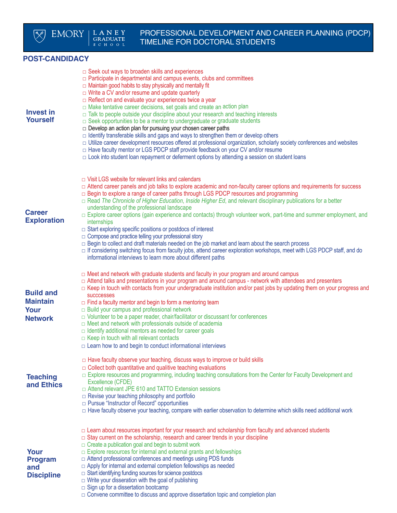

 $\begin{array}{c} \text{L A N E Y} \\ \text{GRADUATE} \\ \text{s c H O O L} \end{array}$ 

### **POST-CANDIDACY**

| <b>Invest in</b><br><b>Yourself</b>                           | $\Box$ Seek out ways to broaden skills and experiences<br>$\Box$ Participate in departmental and campus events, clubs and committees<br>$\Box$ Maintain good habits to stay physically and mentally fit<br>$\Box$ Write a CV and/or resume and update quarterly<br>$\Box$ Reflect on and evaluate your experiences twice a year<br>□ Make tentative career decisions, set goals and create an action plan<br>$\Box$ Talk to people outside your discipline about your research and teaching interests<br>$\Box$ Seek opportunities to be a mentor to undergraduate or graduate students<br>$\Box$ Develop an action plan for pursuing your chosen career paths<br>$\Box$ Identify transferable skills and gaps and ways to strengthen them or develop others<br>□ Utilize career development resources offered at professional organization, scholarly society conferences and websites<br>□ Have faculty mentor or LGS PDCP staff provide feedback on your CV and/or resume<br>$\Box$ Look into student loan repayment or deferment options by attending a session on student loans |
|---------------------------------------------------------------|--------------------------------------------------------------------------------------------------------------------------------------------------------------------------------------------------------------------------------------------------------------------------------------------------------------------------------------------------------------------------------------------------------------------------------------------------------------------------------------------------------------------------------------------------------------------------------------------------------------------------------------------------------------------------------------------------------------------------------------------------------------------------------------------------------------------------------------------------------------------------------------------------------------------------------------------------------------------------------------------------------------------------------------------------------------------------------------|
| <b>Career</b><br><b>Exploration</b>                           | $\Box$ Visit LGS website for relevant links and calendars<br>□ Attend career panels and job talks to explore academic and non-faculty career options and requirements for success<br>□ Begin to explore a range of career paths through LGS PDCP resources and programming<br>$\Box$ Read The Chronicle of Higher Education, Inside Higher Ed, and relevant disciplinary publications for a better<br>understanding of the professional landscape<br>$\Box$ Explore career options (gain experience and contacts) through volunteer work, part-time and summer employment, and<br>internships<br>$\Box$ Start exploring specific positions or postdocs of interest<br>$\Box$ Compose and practice telling your professional story<br>$\Box$ Begin to collect and draft materials needed on the job market and learn about the search process<br>□ If considering switching focus from faculty jobs, attend career exploration workshops, meet with LGS PDCP staff, and do<br>informational interviews to learn more about different paths                                            |
| <b>Build and</b><br><b>Maintain</b><br>Your<br><b>Network</b> | $\Box$ Meet and network with graduate students and faculty in your program and around campus<br>□ Attend talks and presentations in your program and around campus - network with attendees and presenters<br>$\Box$ Keep in touch with contacts from your undergraduate institution and/or past jobs by updating them on your progress and<br><b>SUCCCESSES</b><br>$\Box$ Find a faculty mentor and begin to form a mentoring team<br>$\Box$ Build your campus and professional network<br>$\Box$ Volunteer to be a paper reader, chair/facilitator or discussant for conferences<br>$\Box$ Meet and network with professionals outside of academia<br>$\Box$ Identify additional mentors as needed for career goals<br>$\Box$ Keep in touch with all relevant contacts<br>$\Box$ Learn how to and begin to conduct informational interviews                                                                                                                                                                                                                                        |
| <b>Teaching</b><br>and Ethics                                 | $\Box$ Have faculty observe your teaching, discuss ways to improve or build skills<br>$\Box$ Collect both quantitative and qualitive teaching evaluations<br>□ Explore resources and programming, including teaching consultations from the Center for Faculty Development and<br>Excellence (CFDE)<br>□ Attend relevant JPE 610 and TATTO Extension sessions<br>$\Box$ Revise your teaching philosophy and portfolio<br>□ Pursue "Instructor of Record" opportunities<br>□ Have faculty observe your teaching, compare with earlier observation to determine which skills need additional work                                                                                                                                                                                                                                                                                                                                                                                                                                                                                      |
| Your<br><b>Program</b><br>and<br><b>Discipline</b>            | $\Box$ Learn about resources important for your research and scholarship from faculty and advanced students<br>$\Box$ Stay current on the scholarship, research and career trends in your discipline<br>$\Box$ Create a publication goal and begin to submit work<br>$\Box$ Explore resources for internal and external grants and fellowships<br>$\Box$ Attend professional conferences and meetings using PDS funds<br>$\Box$ Apply for internal and external completion fellowships as needed<br>$\Box$ Start identifying funding sources for science postdocs<br>$\Box$ Write your disseration with the goal of publishing<br>$\Box$ Sign up for a dissertation bootcamp<br>$\Box$ Convene committee to discuss and approve dissertation topic and completion plan                                                                                                                                                                                                                                                                                                               |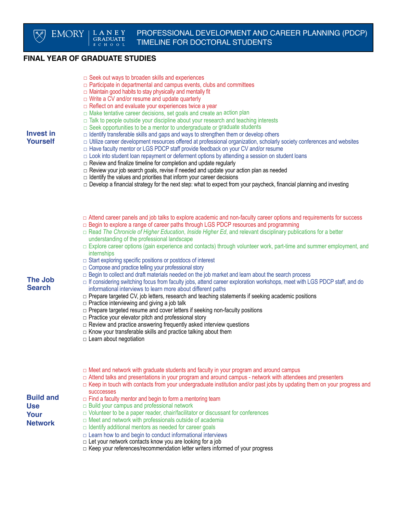# **FINAL YEAR OF GRADUATE STUDIES**

**EMORY** 

|  |  |  |  |  |  |  |  | $\Box$ Seek out ways to broaden skills and experiences |
|--|--|--|--|--|--|--|--|--------------------------------------------------------|
|--|--|--|--|--|--|--|--|--------------------------------------------------------|

- $\Box$  Participate in departmental and campus events, clubs and committees
- $\Box$  Maintain good habits to stay physically and mentally fit
- $\Box$  Write a CV and/or resume and update quarterly
- $\Box$  Reflect on and evaluate your experiences twice a year
- $\Box$  Make tentative career decisions, set goals and create an action plan
- $\Box$  Talk to people outside your discipline about your research and teaching interests
- $\Box$  Seek opportunities to be a mentor to undergraduate or graduate students

#### **Invest in Yourself**

- $\Box$  Identify transferable skills and gaps and ways to strengthen them or develop others  $\Box$  Utilize career development resources offered at professional organization, scholarly society conferences and websites
- $\Box$  Have faculty mentor or LGS PDCP staff provide feedback on your CV and/or resume
- $\Box$  Look into student loan repayment or deferment options by attending a session on student loans
- $\Box$  Review and finalize timeline for completion and update regularly
- □ Review your job search goals, revise if needed and update your action plan as needed
- $\Box$  Identify the values and priorities that inform your career decisions
- $\Box$  Develop a financial strategy for the next step: what to expect from your paycheck, financial planning and investing
- □ Attend career panels and job talks to explore academic and non-faculty career options and requirements for success
- $\Box$  Begin to explore a range of career paths through LGS PDCP resources and programming
- □ Read *The Chronicle of Higher Education*, *Inside Higher Ed*, and relevant disciplinary publications for a better understanding of the professional landscape
- $\Box$  Explore career options (gain experience and contacts) through volunteer work, part-time and summer employment, and internships
- $\Box$  Start exploring specific positions or postdocs of interest
- □ Compose and practice telling your professional story
- $\Box$  Begin to collect and draft materials needed on the job market and learn about the search process
- $\Box$  If considering switching focus from faculty jobs, attend career exploration workshops, meet with LGS PDCP staff, and do informational interviews to learn more about different paths
- □ Prepare targeted CV, job letters, research and teaching statements if seeking academic positions
- $\Box$  Practice interviewing and giving a job talk
- $\square$  Prepare targeted resume and cover letters if seeking non-faculty positions
- □ Practice your elevator pitch and professional story
- $\square$  Review and practice answering frequently asked interview questions
- $\Box$  Know your transferable skills and practice talking about them
- □ Learn about negotiation
- $\Box$  Meet and network with graduate students and faculty in your program and around campus
- □ Attend talks and presentations in your program and around campus network with attendees and presenters
- $\Box$  Keep in touch with contacts from your undergraduate institution and/or past jobs by updating them on your progress and succcesses
- **Build and Use Your Network**
- $\Box$  Find a faculty mentor and begin to form a mentoring team
- □ Build your campus and professional network
	- $\Box$  Volunteer to be a paper reader, chair/facilitator or discussant for conferences
	- □ Meet and network with professionals outside of academia
	- $\Box$  Identify additional mentors as needed for career goals
	- $\Box$  Learn how to and begin to conduct informational interviews
	- $\Box$  Let your network contacts know you are looking for a job
	- □ Keep your references/recommendation letter writers informed of your progress

**The Job Search**